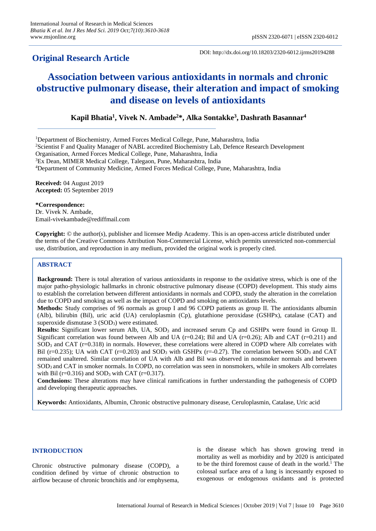# **Original Research Article**

DOI: http://dx.doi.org/10.18203/2320-6012.ijrms20194288

# **Association between various antioxidants in normals and chronic obstructive pulmonary disease, their alteration and impact of smoking and disease on levels of antioxidants**

# **Kapil Bhatia<sup>1</sup> , Vivek N. Ambade<sup>2</sup>\*, Alka Sontakke<sup>3</sup> , Dashrath Basannar<sup>4</sup>**

Department of Biochemistry, Armed Forces Medical College, Pune, Maharashtra, India Scientist F and Quality Manager of NABL accredited Biochemistry Lab, Defence Research Development Organisation, Armed Forces Medical College, Pune, Maharashtra, India Ex Dean, MIMER Medical College, Talegaon, Pune, Maharashtra, India Department of Community Medicine, Armed Forces Medical College, Pune, Maharashtra, India

**Received:** 04 August 2019 **Accepted:** 05 September 2019

**\*Correspondence:** Dr. Vivek N. Ambade, [Email-vivekambade@rediffmail.com](mailto:Email-vivekambade@rediffmail.com)

**Copyright:** © the author(s), publisher and licensee Medip Academy. This is an open-access article distributed under the terms of the Creative Commons Attribution Non-Commercial License, which permits unrestricted non-commercial use, distribution, and reproduction in any medium, provided the original work is properly cited.

# **ABSTRACT**

**Background:** There is total alteration of various antioxidants in response to the oxidative stress, which is one of the major patho-physiologic hallmarks in chronic obstructive pulmonary disease (COPD) development. This study aims to establish the correlation between different antioxidants in normals and COPD, study the alteration in the correlation due to COPD and smoking as well as the impact of COPD and smoking on antioxidants levels.

**Methods:** Study comprises of 96 normals as group I and 96 COPD patients as group II. The antioxidants albumin (Alb), bilirubin (Bil), uric acid (UA) ceruloplasmin (Cp), glutathione peroxidase (GSHPx), catalase (CAT) and superoxide dismutase 3 (SOD<sub>3</sub>) were estimated.

**Results:** Significant lower serum Alb, UA, SOD<sub>3</sub> and increased serum Cp and GSHPx were found in Group II. Significant correlation was found between Alb and UA ( $r=0.24$ ); Bil and UA ( $r=0.26$ ); Alb and CAT ( $r=0.211$ ) and  $SOD<sub>3</sub>$  and CAT (r=0.318) in normals. However, these correlations were altered in COPD where Alb correlates with Bil ( $r=0.235$ ); UA with CAT ( $r=0.203$ ) and SOD<sub>3</sub> with GSHPx ( $r=-0.27$ ). The correlation between SOD<sub>3</sub> and CAT remained unaltered. Similar correlation of UA with Alb and Bil was observed in nonsmoker normals and between SOD<sup>3</sup> and CAT in smoker normals. In COPD, no correlation was seen in nonsmokers, while in smokers Alb correlates with Bil ( $r=0.316$ ) and SOD<sub>3</sub> with CAT ( $r=0.317$ ).

**Conclusions:** These alterations may have clinical ramifications in further understanding the pathogenesis of COPD and developing therapeutic approaches.

**Keywords:** Antioxidants, Albumin, Chronic obstructive pulmonary disease, Ceruloplasmin, Catalase, Uric acid

# **INTRODUCTION**

Chronic obstructive pulmonary disease (COPD), a condition defined by virtue of chronic obstruction to airflow because of chronic bronchitis and /or emphysema, is the disease which has shown growing trend in mortality as well as morbidity and by 2020 is anticipated to be the third foremost cause of death in the world.<sup>1</sup> The colossal surface area of a lung is incessantly exposed to exogenous or endogenous oxidants and is protected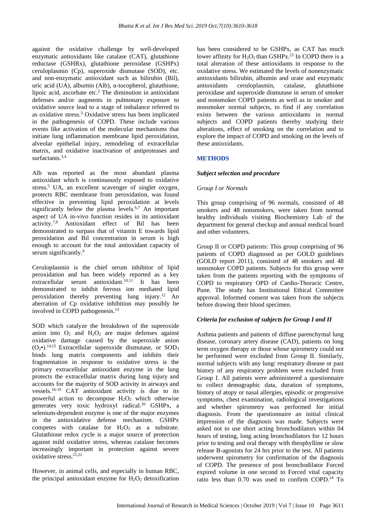against the oxidative challenge by well-developed enzymatic antioxidants like catalase (CAT), glutathione reductase (GSHRx), glutathione peroxidase (GSHPx) ceruloplasmin (Cp), superoxide dismutase (SOD), etc. and non-enzymatic antioxidant such as bilirubin (Bil), uric acid (UA), albumin (Alb), α-tocopherol, glutathione, lipoic acid, ascorbate etc.<sup>2</sup> The diminution in antioxidant defenses and/or augments in pulmonary exposure to oxidative source lead to a stage of imbalance referred to as oxidative stress.<sup>3</sup> Oxidative stress has been implicated in the pathogenesis of COPD. These include various events like activation of the molecular mechanisms that initiate lung inflammation membrane lipid peroxidation, alveolar epithelial injury, remodeling of extracellular matrix, and oxidative inactivation of antiproteases and surfactants.3,4

Alb was reported as the most abundant plasma antioxidant which is continuously exposed to oxidative stress.<sup>5</sup> UA, an excellent scavenger of singlet oxygen, protects RBC membrane from peroxidation, was found effective in preventing lipid peroxidation at levels significantly below the plasma levels.<sup>6,7</sup> An important aspect of UA in-vivo function resides in its antioxidant activity.7,8 Antioxidant effect of Bil has been demonstrated to surpass that of vitamin E towards lipid peroxidation and Bil concentration in serum is high enough to account for the total antioxidant capacity of serum significantly.<sup>9</sup>

Ceruloplasmin is the chief serum inhibitor of lipid peroxidation and has been widely reported as a key  $extrac{ellular}$  serum antioxidant.<sup>10,11</sup> It has been demonstrated to inhibit ferrous ion mediated lipid peroxidation thereby preventing lung injury.<sup>12</sup> An aberration of Cp oxidative inhibition may possibly be involved in COPD pathogenesis.<sup>13</sup>

SOD which catalyze the breakdown of the superoxide anion into  $O_2$  and  $H_2O_2$  are major defenses against oxidative damage caused by the superoxide anion  $(O_2\bullet)$ .<sup>14,15</sup> Extracellular superoxide dismutase, or SOD<sub>3</sub> binds lung matrix components and inhibits their fragmentation in response to oxidative stress is the primary extracellular antioxidant enzyme in the lung protects the extracellular matrix during lung injury and accounts for the majority of SOD activity in airways and vessels.16-19 CAT antioxidant activity is due to its powerful action to decompose  $H_2O_2$  which otherwise generates very toxic hydroxyl radical.<sup>20</sup> GSHPx, a selenium-dependent enzyme is one of the major enzymes in the antioxidative defense mechanism. GSHPx competes with catalase for  $H_2O_2$  as a substrate. Glutathione redox cycle is a major source of protection against mild oxidative stress, whereas catalase becomes increasingly important in protection against severe oxidative stress.21,22

However, in animal cells, and especially in human RBC, the principal antioxidant enzyme for  $H_2O_2$  detoxification has been considered to be GSHPx, as CAT has much lower affinity for  $H_2O_2$  than GSHPx.<sup>23</sup> In COPD there is a total alteration of these antioxidants in response to the oxidative stress. We estimated the levels of nonenzymatic antioxidants bilirubin, albumin and urate and enzymatic antioxidants ceruloplasmin, catalase, glutathione peroxidase and superoxide dismutase in serum of smoker and nonsmoker COPD patients as well as in smoker and nonsmoker normal subjects, to find if any correlation exists between the various antioxidants in normal subjects and COPD patients thereby studying their alterations, effect of smoking on the correlation and to explore the impact of COPD and smoking on the levels of these antioxidants.

# **METHODS**

# *Subject selection and procedure*

# *Group I or Normals*

This group comprising of 96 normals, consisted of 48 smokers and 48 nonsmokers, were taken from normal healthy individuals visiting Biochemistry Lab of the department for general checkup and annual medical board and other volunteers.

Group II or COPD patients: This group comprising of 96 patients of COPD diagnosed as per GOLD guidelines (GOLD report 2011), consisted of 48 smokers and 48 nonsmoker COPD patients. Subjects for this group were taken from the patients reporting with the symptoms of COPD to respiratory OPD of Cardio-Thoracic Centre, Pune. The study has Institutional Ethical Committee approval. Informed consent was taken from the subjects before drawing their blood specimen.

# *Criteria for exclusion of subjects for Group I and II*

Asthma patients and patients of diffuse parenchymal lung disease, coronary artery disease (CAD), patients on long term oxygen therapy or those whose spirometry could not be performed were excluded from Group II. Similarly, normal subjects with any lung/ respiratory disease or past history of any respiratory problem were excluded from Group I. All patients were administered a questionnaire to collect demographic data, duration of symptoms, history of atopy or nasal allergies, episodic or progressive symptoms, chest examination, radiological investigations and whether spirometry was performed for initial diagnosis. From the questionnaire an initial clinical impression of the diagnosis was made. Subjects were asked not to use short acting bronchodilators within 04 hours of testing, long acting bronchodilators for 12 hours prior to testing and oral therapy with theophylline or slow release B-agonists for 24 hrs prior to the test. All patients underwent spirometry for confirmation of the diagnosis of COPD. The presence of post bronchodilator Forced expired volume in one second to Forced vital capacity ratio less than 0.70 was used to confirm COPD.<sup>24</sup> To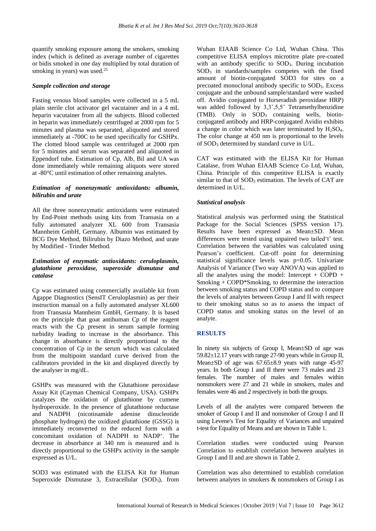quantify smoking exposure among the smokers, smoking index (which is defined as average number of cigarettes or bidis smoked in one day multiplied by total duration of smoking in years) was used.<sup>25</sup>

#### *Sample collection and storage*

Fasting venous blood samples were collected in a 5 mL plain sterile clot activator gel vacutainer and in a 4 mL heparin vacutainer from all the subjects. Blood collected in heparin was immediately centrifuged at 2000 rpm for 5 minutes and plasma was separated, aliquoted and stored immediately at -700C to be used specifically for GSHPx. The clotted blood sample was centrifuged at 2000 rpm for 5 minutes and serum was separated and aliquoted in Eppendorf tube. Estimation of Cp, Alb, Bil and UA was done immediately while remaining aliquots were stored at -80°C until estimation of other remaining analytes.

#### *Estimation of nonenzymatic antioxidants: albumin, bilirubin and urate*

All the three nonenzymatic antioxidants were estimated by End-Point methods using kits from Transasia on a fully automated analyzer XL 600 from Transasia Mannheim GmbH, Germany. Albumin was estimated by BCG Dye Method, Bilirubin by Diazo Method, and urate by Modified - Trinder Method.

# *Estimation of enzymatic antioxidants: ceruloplasmin, glutathione peroxidase, superoxide dismutase and catalase*

Cp was estimated using commercially available kit from Agappe Diagnostics (SensIT Ceruloplasmin) as per their instruction manual on a fully automated analyser XL600 from Transasia Mannheim GmbH, Germany. It is based on the principle that goat antihuman Cp of the reagent reacts with the Cp present in serum sample forming turbidity leading to increase in the absorbance. This change in absorbance is directly proportional to the concentration of Cp in the serum which was calculated from the multipoint standard curve derived from the calibrators provided in the kit and displayed directly by the analyser in mg/dL.

GSHPx was measured with the Glutathione peroxidase Assay Kit (Cayman Chemical Company, USA). GSHPx catalyzes the oxidation of glutathione by cumene hydroperoxide. In the presence of glutathione reductase and NADPH (nicotinamide adenine dinucleotide phosphate hydrogen) the oxidized glutathione (GSSG) is immediately reconverted to the reduced form with a concomitant oxidation of NADPH to NADP<sup>+</sup> . The decrease in absorbance at 340 nm is measured and is directly proportional to the GSHPx activity in the sample expressed as U/L.

SOD3 was estimated with the ELISA Kit for Human Superoxide Dismutase 3, Extracellular (SOD3), from Wuhan EIAAB Science Co Ltd, Wuhan China. This competitive ELISA employs microtitre plate pre-coated with an antibody specific to SOD<sub>3</sub>. During incubation SOD<sup>3</sup> in standards/samples competes with the fixed amount of biotin-conjugated SOD3 for sites on a precoated monoclonal antibody specific to SOD3. Excess conjugate and the unbound sample/standard were washed off. Avidin conjugated to Horseradish peroxidase HRP) was added followed by 3,3',5,5' Tetramethylbenzidine (TMB). Only in SOD<sup>3</sup> containing wells, biotinconjugated antibody and HRP-conjugated Avidin exhibits a change in color which was later terminated by  $H_2SO_4$ . The color change at 450 nm is proportional to the levels of SOD<sup>3</sup> determined by standard curve in U/L.

CAT was estimated with the ELISA Kit for Human Catalase, from Wuhan EIAAB Science Co Ltd, Wuhan, China. Principle of this competitive ELISA is exactly similar to that of SOD<sub>3</sub> estimation. The levels of CAT are determined in U/L.

#### *Statistical analysis*

Statistical analysis was performed using the Statistical Package for the Social Sciences (SPSS version 17). Results have been expressed as Mean±SD. Mean differences were tested using unpaired two tailed't' test. Correlation between the variables was calculated using Pearson's coefficient. Cut-off point for determining statistical significance levels was p=0.05. Univariate Analysis of Variance (Two way ANOVA) was applied to all the analytes using the model: Intercept  $+$  COPD  $+$ Smoking + COPD\*Smoking, to determine the interaction between smoking status and COPD status and to compare the levels of analytes between Group I and II with respect to their smoking status so as to assess the impact of COPD status and smoking status on the level of an analyte.

#### **RESULTS**

In ninety six subjects of Group I, Mean±SD of age was 59.82±12.17 years with range 27-90 years while in Group II, Mean±SD of age was 67.65±8.9 years with range 45-97 years. In both Group I and II there were 73 males and 23 females. The number of males and females within nonsmokers were 27 and 21 while in smokers, males and females were 46 and 2 respectively in both the groups.

Levels of all the analytes were compared between the smoker of Group I and II and nonsmoker of Group I and II using Levene's Test for Equality of Variances and unpaired t-test for Equality of Means and are shown in Table 1.

Correlation studies were conducted using Pearson Correlation to establish correlation between analytes in Group I and II and are shown in Table 2.

Correlation was also determined to establish correlation between analytes in smokers & nonsmokers of Group I as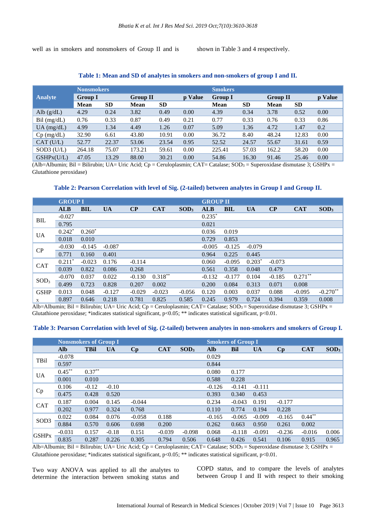well as in smokers and nonsmokers of Group II and is shown in Table 3 and 4 respectively.

#### **Table 1: Mean and SD of analytes in smokers and non-smokers of group I and II.**

|                | <b>Nonsmokers</b> |           |             |                 |      | <b>Smokers</b> |           |                 |           |         |
|----------------|-------------------|-----------|-------------|-----------------|------|----------------|-----------|-----------------|-----------|---------|
| <b>Analyte</b> | <b>Group I</b>    |           |             | <b>Group II</b> |      | <b>Group I</b> |           | <b>Group II</b> |           | p Value |
|                | Mean              | <b>SD</b> | <b>Mean</b> | <b>SD</b>       |      | <b>Mean</b>    | <b>SD</b> | <b>Mean</b>     | <b>SD</b> |         |
| Alb $(g/dL)$   | 4.29              | 0.24      | 3.82        | 0.49            | 0.00 | 4.39           | 0.34      | 3.78            | 0.52      | 0.00    |
| $Bil$ (mg/dL)  | 0.76              | 0.33      | 0.87        | 0.49            | 0.21 | 0.77           | 0.33      | 0.76            | 0.33      | 0.86    |
| $UA$ (mg/dL)   | 4.99              | 1.34      | 4.49        | 1.26            | 0.07 | 5.09           | 1.36      | 4.72            | 1.47      | 0.2     |
| $Cp$ (mg/dL)   | 32.90             | 6.61      | 43.80       | 10.91           | 0.00 | 36.72          | 8.40      | 48.24           | 12.83     | 0.00    |
| CAT (U/L)      | 52.77             | 22.37     | 53.06       | 23.54           | 0.95 | 52.52          | 24.57     | 55.67           | 31.61     | 0.59    |
| $SOD3$ (U/L)   | 264.18            | 75.07     | 173.21      | 59.61           | 0.00 | 225.41         | 57.03     | 162.2           | 58.20     | 0.00    |
| GSHPX(U/L)     | 47.05             | 13.29     | 88.00       | 30.21           | 0.00 | 54.86          | 16.30     | 91.46           | 25.46     | 0.00    |

(Alb=Albumin; Bil = Bilirubin; UA= Uric Acid; Cp = Ceruloplasmin; CAT= Catalase; SOD<sub>3</sub> = Superoxidase dismutase 3; GSHPx = Glutathione peroxidase)

# **Table 2: Pearson Correlation with level of Sig. (2-tailed) between analytes in Group I and Group II.**

|                  | <b>GROUP I</b> |            |           |                         |            |                  |            | <b>GROUP II</b> |           |          |            |                  |  |
|------------------|----------------|------------|-----------|-------------------------|------------|------------------|------------|-----------------|-----------|----------|------------|------------------|--|
|                  | <b>ALB</b>     | <b>BIL</b> | <b>UA</b> | $\overline{\mathbf{C}}$ | <b>CAT</b> | SOD <sub>3</sub> | <b>ALB</b> | <b>BIL</b>      | <b>UA</b> | $\bf CP$ | <b>CAT</b> | SOD <sub>3</sub> |  |
| <b>BIL</b>       | $-0.027$       |            |           |                         |            |                  | $0.235*$   |                 |           |          |            |                  |  |
|                  | 0.795          |            |           |                         |            |                  | 0.021      |                 |           |          |            |                  |  |
| <b>UA</b>        | $0.242*$       | $0.260^*$  |           |                         |            |                  | 0.036      | 0.019           |           |          |            |                  |  |
|                  | 0.018          | 0.010      |           |                         |            |                  | 0.729      | 0.853           |           |          |            |                  |  |
|                  | $-0.030$       | $-0.145$   | $-0.087$  |                         |            |                  | $-0.005$   | $-0.125$        | $-0.079$  |          |            |                  |  |
| CP               | 0.771          | 0.160      | 0.401     |                         |            |                  | 0.964      | 0.225           | 0.445     |          |            |                  |  |
|                  | $0.211*$       | $-0.023$   | 0.176     | $-0.114$                |            |                  | 0.060      | $-0.095$        | $0.203*$  | $-0.073$ |            |                  |  |
| <b>CAT</b>       | 0.039          | 0.822      | 0.086     | 0.268                   |            |                  | 0.561      | 0.358           | 0.048     | 0.479    |            |                  |  |
|                  | $-0.070$       | 0.037      | 0.022     | $-0.130$                | $0.318***$ |                  | $-0.132$   | $-0.177$        | 0.104     | $-0.185$ | $0.271***$ |                  |  |
| SOD <sub>3</sub> | 0.499          | 0.723      | 0.828     | 0.207                   | 0.002      |                  | 0.200      | 0.084           | 0.313     | 0.071    | 0.008      |                  |  |
| <b>GSHP</b>      | 0.013          | 0.048      | $-0.127$  | $-0.029$                | $-0.023$   | $-0.056$         | 0.120      | 0.003           | 0.037     | 0.088    | $-0.095$   | $-0.270**$       |  |
| $\mathbf X$      | 0.897          | 0.646      | 0.218     | 0.781                   | 0.825      | 0.585            | 0.245      | 0.979           | 0.724     | 0.394    | 0.359      | 0.008            |  |

Alb=Albumin; Bil = Bilirubin; UA= Uric Acid; Cp = Ceruloplasmin; CAT= Catalase; SOD<sub>3</sub> = Superoxidase dismutase 3; GSHPx = Glutathione peroxidase; \*indicates statistical significant, p<0.05; \*\* indicates statistical significant, p<0.01.

#### Table 3: Pearson Correlation with level of Sig. (2-tailed) between analytes in non-smokers and smokers of Group I.

|                  | <b>Nonsmokers of Group I</b> |             |           |          |            |                  |            | <b>Smokers of Group I</b> |           |                        |            |                  |  |  |
|------------------|------------------------------|-------------|-----------|----------|------------|------------------|------------|---------------------------|-----------|------------------------|------------|------------------|--|--|
|                  | <b>Alb</b>                   | <b>TBil</b> | <b>UA</b> | Cp       | <b>CAT</b> | SOD <sub>3</sub> | <b>Alb</b> | <b>Bil</b>                | <b>UA</b> | $\mathbf{C}\mathbf{p}$ | <b>CAT</b> | SOD <sub>3</sub> |  |  |
|                  | $-0.078$                     |             |           |          |            |                  | 0.029      |                           |           |                        |            |                  |  |  |
| TBil             | 0.597                        |             |           |          |            |                  | 0.844      |                           |           |                        |            |                  |  |  |
|                  | $0.45***$                    | $0.37***$   |           |          |            |                  | 0.080      | 0.177                     |           |                        |            |                  |  |  |
| <b>UA</b>        | 0.001                        | 0.010       |           |          |            |                  | 0.588      | 0.228                     |           |                        |            |                  |  |  |
|                  | 0.106                        | $-0.12$     | $-0.10$   |          |            |                  | $-0.126$   | $-0.141$                  | $-0.111$  |                        |            |                  |  |  |
| Cp               | 0.475                        | 0.428       | 0.520     |          |            |                  | 0.393      | 0.340                     | 0.453     |                        |            |                  |  |  |
|                  | 0.187                        | 0.004       | 0.145     | $-0.044$ |            |                  | 0.234      | $-0.043$                  | 0.191     | $-0.177$               |            |                  |  |  |
| <b>CAT</b>       | 0.202                        | 0.977       | 0.324     | 0.768    |            |                  | 0.110      | 0.774                     | 0.194     | 0.228                  |            |                  |  |  |
|                  | 0.022                        | 0.084       | 0.076     | $-0.058$ | 0.188      |                  | $-0.165$   | $-0.065$                  | $-0.009$  | $-0.165$               | $0.44***$  |                  |  |  |
| SOD <sub>3</sub> | 0.884                        | 0.570       | 0.606     | 0.698    | 0.200      |                  | 0.262      | 0.663                     | 0.950     | 0.261                  | 0.002      |                  |  |  |
|                  | $-0.031$                     | 0.157       | $-0.18$   | 0.151    | $-0.039$   | $-0.098$         | 0.068      | $-0.118$                  | $-0.091$  | $-0.236$               | $-0.016$   | 0.006            |  |  |
| <b>GSHPx</b>     | 0.835                        | 0.287       | 0.226     | 0.305    | 0.794      | 0.506            | 0.648      | 0.426                     | 0.541     | 0.106                  | 0.915      | 0.965            |  |  |

Alb=Albumin; Bil = Bilirubin; UA= Uric Acid; Cp = Ceruloplasmin; CAT= Catalase; SOD<sub>3</sub> = Superoxidase dismutase 3; GSHPx = Glutathione peroxidase; \*indicates statistical significant,  $p<0.05$ ; \*\* indicates statistical significant,  $p<0.01$ .

Two way ANOVA was applied to all the analytes to determine the interaction between smoking status and COPD status, and to compare the levels of analytes between Group I and II with respect to their smoking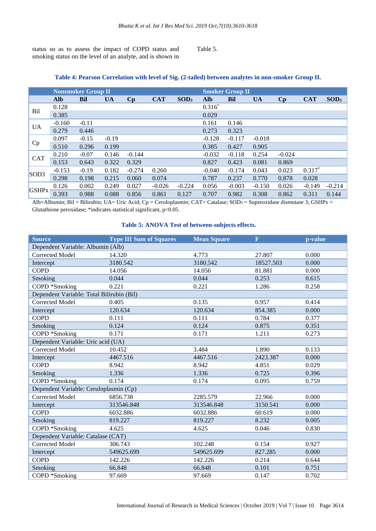status so as to assess the impact of COPD status and smoking status on the level of an analyte, and is shown in

# Table 5.

|              | <b>Nonsmoker Group II</b> |            |           |          |            |                  |            | <b>Smoker Group II</b> |           |                        |            |                  |  |
|--------------|---------------------------|------------|-----------|----------|------------|------------------|------------|------------------------|-----------|------------------------|------------|------------------|--|
|              | <b>Alb</b>                | <b>Bil</b> | <b>UA</b> | $C_{p}$  | <b>CAT</b> | SOD <sub>3</sub> | <b>Alb</b> | <b>Bil</b>             | <b>UA</b> | $\mathbf{C}\mathbf{p}$ | <b>CAT</b> | SOD <sub>3</sub> |  |
| Bil          | 0.128                     |            |           |          |            |                  | $0.316*$   |                        |           |                        |            |                  |  |
|              | 0.385                     |            |           |          |            |                  | 0.029      |                        |           |                        |            |                  |  |
| UA           | $-0.160$                  | $-0.11$    |           |          |            |                  | 0.161      | 0.146                  |           |                        |            |                  |  |
|              | 0.279                     | 0.446      |           |          |            |                  | 0.273      | 0.323                  |           |                        |            |                  |  |
| Cp           | 0.097                     | $-0.15$    | $-0.19$   |          |            |                  | $-0.128$   | $-0.117$               | $-0.018$  |                        |            |                  |  |
|              | 0.510                     | 0.296      | 0.199     |          |            |                  | 0.385      | 0.427                  | 0.905     |                        |            |                  |  |
| <b>CAT</b>   | 0.210                     | $-0.07$    | 0.146     | $-0.144$ |            |                  | $-0.032$   | $-0.118$               | 0.254     | $-0.024$               |            |                  |  |
|              | 0.153                     | 0.643      | 0.322     | 0.329    |            |                  | 0.827      | 0.423                  | 0.081     | 0.869                  |            |                  |  |
| SOD3         | $-0.153$                  | $-0.19$    | 0.182     | $-0.274$ | 0.260      |                  | $-0.040$   | $-0.174$               | 0.043     | 0.023                  | $0.317*$   |                  |  |
|              | 0.298                     | 0.198      | 0.215     | 0.060    | 0.074      |                  | 0.787      | 0.237                  | 0.770     | 0.878                  | 0.028      |                  |  |
|              | 0.126                     | 0.002      | 0.249     | 0.027    | $-0.026$   | $-0.224$         | 0.056      | $-0.003$               | $-0.150$  | 0.026                  | $-0.149$   | $-0.214$         |  |
| <b>GSHPx</b> | 0.393                     | 0.988      | 0.088     | 0.856    | 0.861      | 0.127            | 0.707      | 0.982                  | 0.308     | 0.862                  | 0.311      | 0.144            |  |

# **Table 4: Pearson Correlation with level of Sig. (2-tailed) between analytes in non-smoker Group II.**

Alb=Albumin; Bil = Bilirubin; UA= Uric Acid; Cp = Ceruloplasmin; CAT= Catalase; SOD<sub>3</sub> = Superoxidase dismutase 3; GSHPx = Glutathione peroxidase; \*indicates statistical significant, p<0.05.

# **Table 5: ANOVA Test of between-subjects effects.**

| <b>Source</b>                             | <b>Type III Sum of Squares</b> | <b>Mean Square</b> | $\overline{\mathbf{F}}$ | p-value |  |  |  |  |
|-------------------------------------------|--------------------------------|--------------------|-------------------------|---------|--|--|--|--|
| Dependent Variable: Albumin (Alb)         |                                |                    |                         |         |  |  |  |  |
| <b>Corrected Model</b>                    | 14.320                         | 4.773              | 27.807                  | 0.000   |  |  |  |  |
| Intercept                                 | 3180.542                       | 3180.542           | 18527.503               | 0.000   |  |  |  |  |
| <b>COPD</b>                               | 14.056                         | 14.056             | 81.881                  | 0.000   |  |  |  |  |
| Smoking                                   | 0.044                          | 0.044              | 0.253                   | 0.615   |  |  |  |  |
| COPD *Smoking                             | 0.221                          | 0.221              | 1.286                   | 0.258   |  |  |  |  |
| Dependent Variable: Total Bilirubin (Bil) |                                |                    |                         |         |  |  |  |  |
| <b>Corrected Model</b>                    | 0.405                          | 0.135              | 0.957                   | 0.414   |  |  |  |  |
| Intercept                                 | 120.634                        | 120.634            | 854.385                 | 0.000   |  |  |  |  |
| <b>COPD</b>                               | 0.111                          | 0.111              | 0.784                   | 0.377   |  |  |  |  |
| Smoking                                   | 0.124                          | 0.124              | 0.875                   | 0.351   |  |  |  |  |
| COPD *Smoking                             | 0.171                          | 0.171              | 1.211                   | 0.273   |  |  |  |  |
| Dependent Variable: Uric acid (UA)        |                                |                    |                         |         |  |  |  |  |
| <b>Corrected Model</b>                    | 10.452                         | 3.484              | 1.890                   | 0.133   |  |  |  |  |
| Intercept                                 | 4467.516                       | 4467.516           | 2423.387                | 0.000   |  |  |  |  |
| <b>COPD</b>                               | 8.942                          | 8.942              | 4.851                   | 0.029   |  |  |  |  |
| Smoking                                   | 1.336                          | 1.336              | 0.725                   | 0.396   |  |  |  |  |
| COPD *Smoking                             | 0.174                          | 0.174              | 0.095                   | 0.759   |  |  |  |  |
| Dependent Variable: Ceruloplasmin (Cp)    |                                |                    |                         |         |  |  |  |  |
| <b>Corrected Model</b>                    | 6856.738                       | 2285.579           | 22.966                  | 0.000   |  |  |  |  |
| Intercept                                 | 313546.848                     | 313546.848         | 3150.541                | 0.000   |  |  |  |  |
| <b>COPD</b>                               | 6032.886                       | 6032.886           | 60.619                  | 0.000   |  |  |  |  |
| Smoking                                   | 819.227                        | 819.227            | 8.232                   | 0.005   |  |  |  |  |
| COPD *Smoking                             | 4.625                          | 4.625              | 0.046                   | 0.830   |  |  |  |  |
| Dependent Variable: Catalase (CAT)        |                                |                    |                         |         |  |  |  |  |
| <b>Corrected Model</b>                    | 306.743                        | 102.248            | 0.154                   | 0.927   |  |  |  |  |
| Intercept                                 | 549625.699                     | 549625.699         | 827.285                 | 0.000   |  |  |  |  |
| <b>COPD</b>                               | 142.226                        | 142.226            | 0.214                   | 0.644   |  |  |  |  |
| Smoking                                   | 66.848                         | 66.848             | 0.101                   | 0.751   |  |  |  |  |
| COPD *Smoking                             | 97.669                         | 97.669             | 0.147                   | 0.702   |  |  |  |  |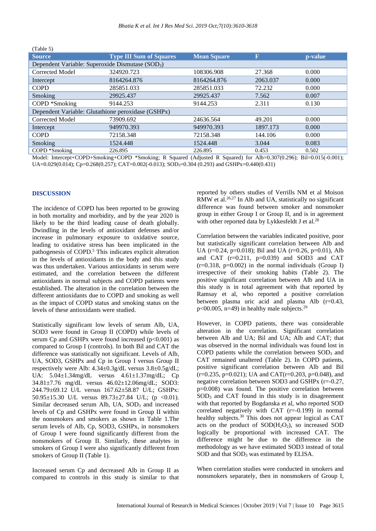| $1$ avie $3$ )<br><b>Source</b>                              | <b>Type III Sum of Squares</b> | <b>Mean Square</b> | $\overline{\text{F}}$ | p-value |  |  |  |  |  |  |
|--------------------------------------------------------------|--------------------------------|--------------------|-----------------------|---------|--|--|--|--|--|--|
| Dependent Variable: Superoxide Dismutase (SOD <sub>3</sub> ) |                                |                    |                       |         |  |  |  |  |  |  |
| Corrected Model                                              | 324920.723                     | 108306.908         | 27.368                | 0.000   |  |  |  |  |  |  |
| Intercept                                                    | 8164264.876                    | 8164264.876        | 2063.037              | 0.000   |  |  |  |  |  |  |
| <b>COPD</b>                                                  | 285851.033                     | 285851.033         | 72.232                | 0.000   |  |  |  |  |  |  |
| Smoking                                                      | 29925.437                      | 29925.437          | 7.562                 | 0.007   |  |  |  |  |  |  |
| COPD *Smoking                                                | 9144.253                       | 9144.253           | 2.311                 | 0.130   |  |  |  |  |  |  |
| Dependent Variable: Glutathione peroxidase (GSHPx)           |                                |                    |                       |         |  |  |  |  |  |  |
| Corrected Model                                              | 73909.692                      | 24636.564          | 49.201                | 0.000   |  |  |  |  |  |  |
| Intercept                                                    | 949970.393                     | 949970.393         | 1897.173              | 0.000   |  |  |  |  |  |  |
| <b>COPD</b>                                                  | 72158.348                      | 72158.348          | 144.106               | 0.000   |  |  |  |  |  |  |
| Smoking                                                      | 1524.448                       | 1524.448           | 3.044                 | 0.083   |  |  |  |  |  |  |
| COPD *Smoking                                                | 226.895                        | 226.895            | 0.453                 | 0.502   |  |  |  |  |  |  |

Model: Intercept+COPD+Smoking+COPD \*Smoking; R Squared (Adjusted R Squared) for Alb=0.307(0.296); Bil=0.015(-0.001); UA=0.029(0.014); Cp=0.268(0.257); CAT=0.002(-0.013); SOD<sub>3</sub>=0.304 (0.293) and GSHPx=0.440(0.431)

#### **DISCUSSION**

 $(T<sub>ab</sub>)<sub>a</sub> F$ 

The incidence of COPD has been reported to be growing in both mortality and morbidity, and by the year 2020 is likely to be the third leading cause of death globally. Dwindling in the levels of antioxidant defenses and/or increase in pulmonary exposure to oxidative source, leading to oxidative stress has been implicated in the pathogenesis of COPD.<sup>5</sup> This indicates explicit alteration in the levels of antioxidants in the body and this study was thus undertaken. Various antioxidants in serum were estimated, and the correlation between the different antioxidants in normal subjects and COPD patients were established. The alteration in the correlation between the different antioxidants due to COPD and smoking as well as the impact of COPD status and smoking status on the levels of these antioxidants were studied.

Statistically significant low levels of serum Alb, UA, SOD3 were found in Group II (COPD) while levels of serum Cp and GSHPx were found increased  $(p<0.001)$  as compared to Group I (controls). In both Bil and CAT the difference was statistically not significant. Levels of Alb, UA, SOD3, GSHPx and Cp in Group I versus Group II respectively were Alb: 4.34±0.3g/dL versus 3.8±0.5g/dL; UA: 5.04±1.34mg/dL versus 4.61±1.37mg/dL; Cp 34.81±7.76 mg/dL versus 46.02±12.06mg/dL; SOD3: 244.79±69.12 U/L versus 167.62±58.87 U/L; GSHPx: 50.95 $\pm$ 15.30 U/L versus 89.73 $\pm$ 27.84 U/L; (p <0.01). Similar decreased serum Alb, UA, SOD<sub>3</sub> and increased levels of Cp and GSHPx were found in Group II within the nonsmokers and smokers as shown in Table 1.The serum levels of Alb, Cp, SOD3, GSHPx, in nonsmokers of Group I were found significantly different from the nonsmokers of Group II. Similarly, these analytes in smokers of Group I were also significantly different from smokers of Group II (Table 1).

Increased serum Cp and decreased Alb in Group II as compared to controls in this study is similar to that reported by others studies of Verrills NM et al Moison RMW et al.<sup>26,27</sup> In Alb and UA, statistically no significant difference was found between smoker and nonsmoker group in either Group I or Group II, and is in agreement with other reported data by Lykkesfeldt J et al.<sup>28</sup>

Correlation between the variables indicated positive, poor but statistically significant correlation between Alb and UA ( $r=0.24$ ,  $p=0.018$ ); Bil and UA ( $r=0.26$ ,  $p=0.01$ ), Alb and CAT  $(r=0.211, p=0.039)$  and SOD3 and CAT  $(r=0.318, p=0.002)$  in the normal individuals (Group I) irrespective of their smoking habits (Table 2). The positive significant correlation between Alb and UA in this study is in total agreement with that reported by Ramsay et al, who reported a positive correlation between plasma uric acid and plasma Alb (r=0.43,  $p<00.005$ , n=49) in healthy male subjects.<sup>29</sup>

However, in COPD patients, there was considerable alteration in the correlation. Significant correlation between Alb and UA; Bil and UA; Alb and CAT; that was observed in the normal individuals was found lost in COPD patients while the correlation between  $SOD<sub>3</sub>$  and CAT remained unaltered (Table 2). In COPD patients, positive significant correlation between Alb and Bil  $(r=0.235, p=0.021)$ ; UA and CAT $(r=0.203, p=0.048)$ , and negative correlation between SOD3 and GSHPx (r=-0.27, p=0.008) was found. The positive correlation between SOD<sub>3</sub> and CAT found in this study is in disagreement with that reported by Bogdanska et al, who reported SOD correlated negatively with CAT (r=-0.199) in normal healthy subjects.<sup>30</sup> This does not appear logical as CAT acts on the product of  $SOD(H<sub>2</sub>O<sub>2</sub>)$ , so increased SOD logically be proportional with increased CAT. The difference might be due to the difference in the methodology as we have estimated SOD3 instead of total SOD and that SOD<sub>3</sub> was estimated by ELISA.

When correlation studies were conducted in smokers and nonsmokers separately, then in nonsmokers of Group I,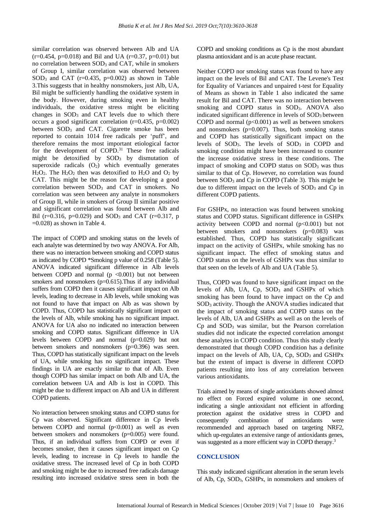similar correlation was observed between Alb and UA  $(r=0.454, p=0.018)$  and Bil and UA  $(r=0.37, p=0.01)$  but no correlation between  $SOD<sub>3</sub>$  and CAT, while in smokers of Group I, similar correlation was observed between SOD<sub>3</sub> and CAT ( $r=0.435$ ,  $p=0.002$ ) as shown in Table 3.This suggests that in healthy nonsmokers, just Alb, UA, Bil might be sufficiently handling the oxidative system in the body. However, during smoking even in healthy individuals, the oxidative stress might be eliciting changes in  $SOD<sub>3</sub>$  and CAT levels due to which there occurs a good significant correlation (r=0.435, p=0.002) between  $SOD_3$  and CAT. Cigarette smoke has been reported to contain 1014 free radicals per 'puff', and therefore remains the most important etiological factor for the development of COPD.<sup>31</sup> These free radicals might be detoxified by  $SOD<sub>3</sub>$  by dismutation of superoxide radicals  $(O_2)$  which eventually generates  $H_2O_2$ . The  $H_2O_2$  then was detoxified to  $H_2O$  and  $O_2$  by CAT. This might be the reason for developing a good correlation between SOD<sup>3</sup> and CAT in smokers. No correlation was seen between any analyte in nonsmokers of Group II, while in smokers of Group II similar positive and significant correlation was found between Alb and Bil (r=0.316, p=0.029) and SOD<sub>3</sub> and CAT (r=0.317, p  $=0.028$ ) as shown in Table 4.

The impact of COPD and smoking status on the levels of each analyte was determined by two way ANOVA. For Alb, there was no interaction between smoking and COPD status as indicated by COPD \*Smoking p value of 0.258 (Table 5). ANOVA indicated significant difference in Alb levels between COPD and normal  $(p \le 0.001)$  but not between smokers and nonsmokers  $(p=0.615)$ . Thus if any individual suffers from COPD then it causes significant impact on Alb levels, leading to decrease in Alb levels, while smoking was not found to have that impact on Alb as was shown by COPD. Thus, COPD has statistically significant impact on the levels of Alb, while smoking has no significant impact. ANOVA for UA also no indicated no interaction between smoking and COPD status. Significant difference in UA levels between COPD and normal (p=0.029) but not between smokers and nonsmokers (p=0.396) was seen. Thus, COPD has statistically significant impact on the levels of UA, while smoking has no significant impact. These findings in UA are exactly similar to that of Alb. Even though COPD has similar impact on both Alb and UA, the correlation between UA and Alb is lost in COPD. This might be due to different impact on Alb and UA in different COPD patients.

No interaction between smoking status and COPD status for Cp was observed. Significant difference in Cp levels between COPD and normal  $(p<0.001)$  as well as even between smokers and nonsmokers (p=0.005) were found. Thus, if an individual suffers from COPD or even if becomes smoker, then it causes significant impact on Cp levels, leading to increase in Cp levels to handle the oxidative stress. The increased level of Cp in both COPD and smoking might be due to increased free radicals damage resulting into increased oxidative stress seen in both the COPD and smoking conditions as Cp is the most abundant plasma antioxidant and is an acute phase reactant.

Neither COPD nor smoking status was found to have any impact on the levels of Bil and CAT. The Levene's Test for Equality of Variances and unpaired t-test for Equality of Means as shown in Table 1 also indicated the same result for Bil and CAT. There was no interaction between smoking and COPD status in SOD<sub>3</sub>. ANOVA also indicated significant difference in levels of  $SOD<sub>3</sub>$  between COPD and normal  $(p<0.001)$  as well as between smokers and nonsmokers ( $p=0.007$ ). Thus, both smoking status and COPD has statistically significant impact on the levels of SOD<sub>3</sub>. The levels of SOD<sub>3</sub> in COPD and smoking condition might have been increased to counter the increase oxidative stress in these conditions. The impact of smoking and COPD status on  $SOD<sub>3</sub>$  was thus similar to that of Cp. However, no correlation was found between SOD<sup>3</sup> and Cp in COPD (Table 3). This might be due to different impact on the levels of  $SOD<sub>3</sub>$  and  $Cp$  in different COPD patients.

For GSHPx, no interaction was found between smoking status and COPD status. Significant difference in GSHPx activity between COPD and normal  $(p<0.001)$  but not between smokers and nonsmokers (p=0.083) was established. Thus, COPD has statistically significant impact on the activity of GSHPx, while smoking has no significant impact. The effect of smoking status and COPD status on the levels of GSHPx was thus similar to that seen on the levels of Alb and UA (Table 5).

Thus, COPD was found to have significant impact on the levels of Alb, UA, Cp, SOD<sup>3</sup> and GSHPx of which smoking has been found to have impact on the Cp and SOD<sup>3</sup> activity. Though the ANOVA studies indicated that the impact of smoking status and COPD status on the levels of Alb, UA and GSHPx as well as on the levels of  $Cp$  and  $SOD<sub>3</sub>$  was similar, but the Pearson correlation studies did not indicate the expected correlation amongst these analytes in COPD condition. Thus this study clearly demonstrated that though COPD condition has a definite impact on the levels of Alb, UA,  $C_p$ ,  $SOD_3$  and  $GSHPx$ but the extent of impact is diverse in different COPD patients resulting into loss of any correlation between various antioxidants.

Trials aimed by means of single antioxidants showed almost no effect on Forced expired volume in one second, indicating a single antioxidant not efficient in affording protection against the oxidative stress in COPD and consequently combination of antioxidants were recommended and approach based on targeting NRF2, which up-regulates an extensive range of antioxidants genes, was suggested as a more efficient way in COPD therapy.<sup>3</sup>

#### **CONCLUSION**

This study indicated significant alteration in the serum levels of Alb, Cp, SOD3, GSHPx, in nonsmokers and smokers of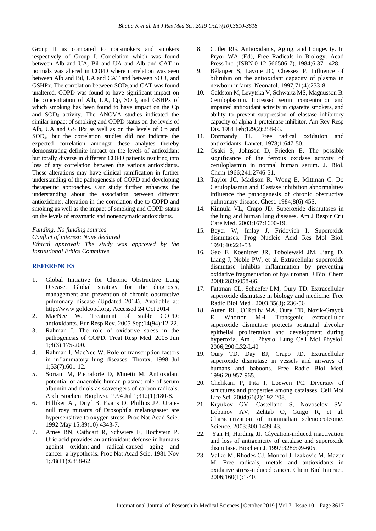Group II as compared to nonsmokers and smokers respectively of Group I. Correlation which was found between Alb and UA, Bil and UA and Alb and CAT in normals was altered in COPD where correlation was seen between Alb and Bil, UA and CAT and between  $SOD<sub>3</sub>$  and GSHPx. The correlation between  $SOD_3$  and CAT was found unaltered. COPD was found to have significant impact on the concentration of Alb, UA, Cp, SOD<sub>3</sub> and GSHPx of which smoking has been found to have impact on the Cp and SOD<sup>3</sup> activity. The ANOVA studies indicated the similar impact of smoking and COPD status on the levels of Alb, UA and GSHPx as well as on the levels of Cp and SOD3, but the correlation studies did not indicate the expected correlation amongst these analytes thereby demonstrating definite impact on the levels of antioxidant but totally diverse in different COPD patients resulting into loss of any correlation between the various antioxidants. These alterations may have clinical ramification in further understanding of the pathogenesis of COPD and developing therapeutic approaches. Our study further enhances the understanding about the association between different antioxidants, alteration in the correlation due to COPD and smoking as well as the impact of smoking and COPD status on the levels of enzymatic and nonenzymatic antioxidants.

```
Funding: No funding sources
```
*Conflict of interest: None declared Ethical approval: The study was approved by the Institutional Ethics Committee*

# **REFERENCES**

- 1. Global Initiative for Chronic Obstructive Lung Disease. Global strategy for the diagnosis, management and prevention of chronic obstructive pulmonary disease (Updated 2014). Available at: http://www.goldcopd.org. Accessed 24 Oct 2014.
- 2. MacNee W. Treatment of stable COPD: antioxidants. Eur Resp Rev. 2005 Sep;14(94):12-22.
- 3. Rahman I. The role of oxidative stress in the pathogenesis of COPD. Treat Resp Med. 2005 Jun 1;4(3):175-200.
- 4. Rahman I, MacNee W. Role of transcription factors in inflammatory lung diseases. Thorax. 1998 Jul 1;53(7):601-12.
- 5. Soriani M, Pietraforte D, Minetti M. Antioxidant potential of anaerobic human plasma: role of serum albumin and thiols as scavengers of carbon radicals. Arch Biochem Biophysi. 1994 Jul 1;312(1):180-8.
- 6. Hilliker AJ, Duyf B, Evans D, Phillips JP. Uratenull rosy mutants of Drosophila melanogaster are hypersensitive to oxygen stress. Proc Nat Acad Scie. 1992 May 15;89(10):4343-7.
- 7. Ames BN, Cathcart R, Schwiers E, Hochstein P. Uric acid provides an antioxidant defense in humans against oxidant-and radical-caused aging and cancer: a hypothesis. Proc Nat Acad Scie. 1981 Nov 1;78(11):6858-62.
- 8. Cutler RG. Antioxidants, Aging, and Longevity. In Pryor WA (Ed), Free Radicals in Biology. Acad Press Inc. (ISBN 0-12-566506-7). 1984;6:371-428.
- 9. Bélanger S, Lavoie JC, Chessex P. Influence of bilirubin on the antioxidant capacity of plasma in newborn infants. Neonatol. 1997;71(4):233-8.
- 10. Galdston M, Levytska V, Schwartz MS, Magnusson B. Ceruloplasmin. Increased serum concentration and impaired antioxidant activity in cigarette smokers, and ability to prevent suppression of elastase inhibitory capacity of alpha 1-proteinase inhibitor. Am Rev Resp Dis. 1984 Feb;129(2):258-63.
- 11. Dormandy TL. Free radical oxidation and antioxidants. Lancet. 1978;1:647-50.
- 12. Osaki S, Johnson D, Frieden E. The possible significance of the ferrous oxidase activity of ceruloplasmin in normal human serum. J. Biol. Chem 1966;241:2746-51.
- 13. Taylor JC, Madison R, Wong E, Mittman C. Do Ceruloplasmin and Elastase inhibition abnormalities influence the pathogenesis of chronic obstructive pulmonary disease. Chest. 1984;8(6):45S.
- 14. Kinnula VL, Crapo JD. Superoxide dismutases in the lung and human lung diseases. Am J Respir Crit Care Med. 2003;167:1600-19.
- 15. Beyer W, Imlay J, Fridovich I. Superoxide dismutases. Prog Nucleic Acid Res Mol Biol. 1991;40:221-53
- 16. Gao F, Koenitzer JR, Tobolewski JM, Jiang D, Liang J, Noble PW, et al. Extracellular superoxide dismutase inhibits inflammation by preventing oxidative fragmentation of hyaluronan. J Biol Chem 2008;283:6058-66.
- 17. Fattman CL, Schaefer LM, Oury TD. Extracellular superoxide dismutase in biology and medicine. Free Radic Biol Med , 2003;35(3): 236-56
- 18. Auten RL, O'Reilly MA, Oury TD, Nozik-Grayck E, Whorton MH. Transgenic extracellular superoxide dismutase protects postnatal alveolar epithelial proliferation and development during hyperoxia. Am J Physiol Lung Cell Mol Physiol. 2006;290:L32-L40
- 19. Oury TD, Day BJ, Crapo JD. Extracellular superoxide dismutase in vessels and airways of humans and baboons. Free Radic Biol Med. 1996;20:957-965.
- 20. Chelikani P, Fita I, Loewen PC. Diversity of structures and properties among catalases. Cell Mol Life Sci. 2004;61(2):192-208.
- 21. Kryukov GV, Castellano S, Novoselov SV, Lobanov AV, Zehtab O, Guigo R, et al. Characterization of mammalian selenoproteome. Science. 2003;300:1439-43.
- 22. Yan H, Harding JJ. Glycation-induced inactivation and loss of antigenicity of catalase and superoxide dismutase. Biochem J. 1997;328:599-605.
- 23. Valko M, Rhodes CJ, Moncol J, Izakovic M, Mazur M. Free radicals, metals and antioxidants in oxidative stress-induced cancer. Chem Biol Interact. 2006;160(1):1-40.